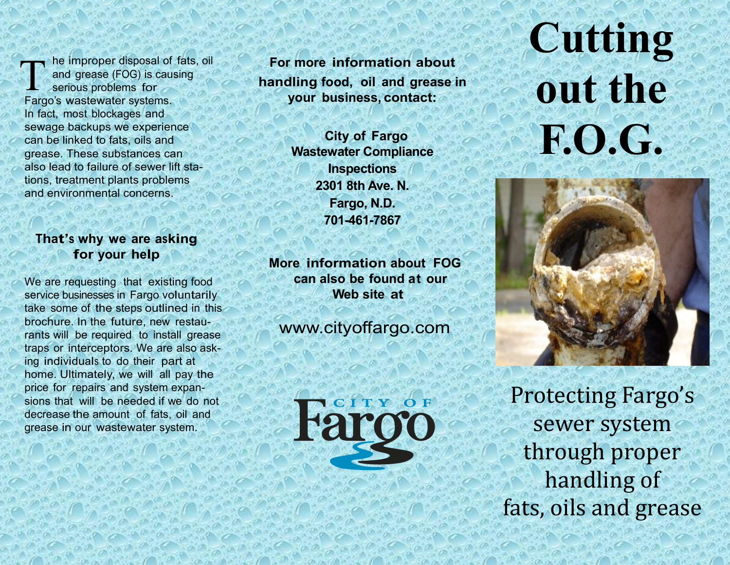he improper disposal of fats, oil and grease (FOG) is causing serious problems for Fargo's wastewater systems. In fact, most blockages and sewage backups we experience can be linked to fats, oils and grease. These substances can also lead to failure of sewer lift stations, treatment plants problems and environmental concerns. T

### **That'<sup>s</sup> why we are asking for your help**

We are requesting that existing food service businesses in Fargo voluntarily take some of the steps outlined in this brochure. In the future, new restaurants will be required to install grease traps or interceptors. We are also asking individuals to do their part at home. Ultimately, we will all pay the price for repairs and system expansions that will be needed if we do not decrease the amount of fats, oil and grease in our wastewater system.

**For more information about handling food, oil and grease in your business, contact:**

ĺ

 **City of Fargo Wastewater Compliance Inspections 2301 8th Ave. N. Fargo, N.D. 701-461-7867**

**More information about FOG can also be found at our Web site at**

www.cityoffargo.com



# **Cutting out the F.O.G.**



Protecting Fargo's sewer system through proper handling of fats, oils and grease